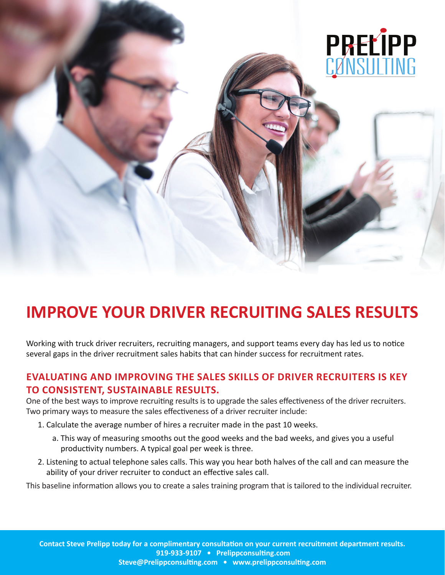

# **IMPROVE YOUR DRIVER RECRUITING SALES RESULTS**

Working with truck driver recruiters, recruiting managers, and support teams every day has led us to notice several gaps in the driver recruitment sales habits that can hinder success for recruitment rates.

## **EVALUATING AND IMPROVING THE SALES SKILLS OF DRIVER RECRUITERS IS KEY TO CONSISTENT, SUSTAINABLE RESULTS.**

One of the best ways to improve recruiting results is to upgrade the sales effectiveness of the driver recruiters. Two primary ways to measure the sales effectiveness of a driver recruiter include:

- 1. Calculate the average number of hires a recruiter made in the past 10 weeks.
	- a. This way of measuring smooths out the good weeks and the bad weeks, and gives you a useful productivity numbers. A typical goal per week is three.
- 2. Listening to actual telephone sales calls. This way you hear both halves of the call and can measure the ability of your driver recruiter to conduct an effective sales call.

This baseline information allows you to create a sales training program that is tailored to the individual recruiter.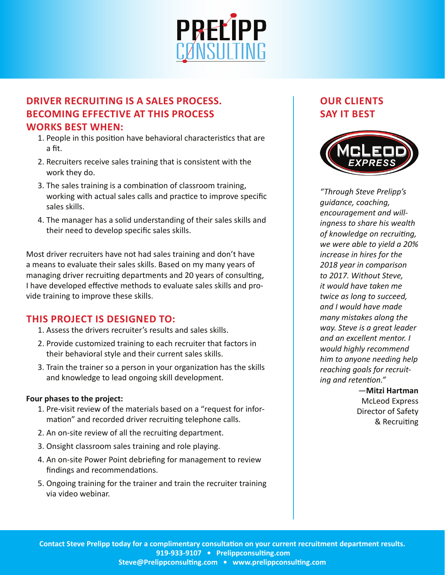

## **DRIVER RECRUITING IS A SALES PROCESS. BECOMING EFFECTIVE AT THIS PROCESS WORKS BEST WHEN:**

- 1. People in this position have behavioral characteristics that are a fit.
- 2. Recruiters receive sales training that is consistent with the work they do.
- 3. The sales training is a combination of classroom training, working with actual sales calls and practice to improve specific sales skills.
- 4. The manager has a solid understanding of their sales skills and their need to develop specific sales skills.

Most driver recruiters have not had sales training and don't have a means to evaluate their sales skills. Based on my many years of managing driver recruiting departments and 20 years of consulting, I have developed effective methods to evaluate sales skills and provide training to improve these skills.

## **THIS PROJECT IS DESIGNED TO:**

- 1. Assess the drivers recruiter's results and sales skills.
- 2. Provide customized training to each recruiter that factors in their behavioral style and their current sales skills.
- 3. Train the trainer so a person in your organization has the skills and knowledge to lead ongoing skill development.

#### **Four phases to the project:**

- 1. Pre-visit review of the materials based on a "request for information" and recorded driver recruiting telephone calls.
- 2. An on-site review of all the recruiting department.
- 3. Onsight classroom sales training and role playing.
- 4. An on-site Power Point debriefing for management to review findings and recommendations.
- 5. Ongoing training for the trainer and train the recruiter training via video webinar.

## **OUR CLIENTS SAY IT BEST**



*"Through Steve Prelipp's guidance, coaching, encouragement and willingness to share his wealth of knowledge on recruiting, we were able to yield a 20% increase in hires for the 2018 year in comparison to 2017. Without Steve, it would have taken me twice as long to succeed, and I would have made many mistakes along the way. Steve is a great leader and an excellent mentor. I would highly recommend him to anyone needing help reaching goals for recruiting and retention."* 

### —**Mitzi Hartman**

McLeod Express Director of Safety & Recruiting